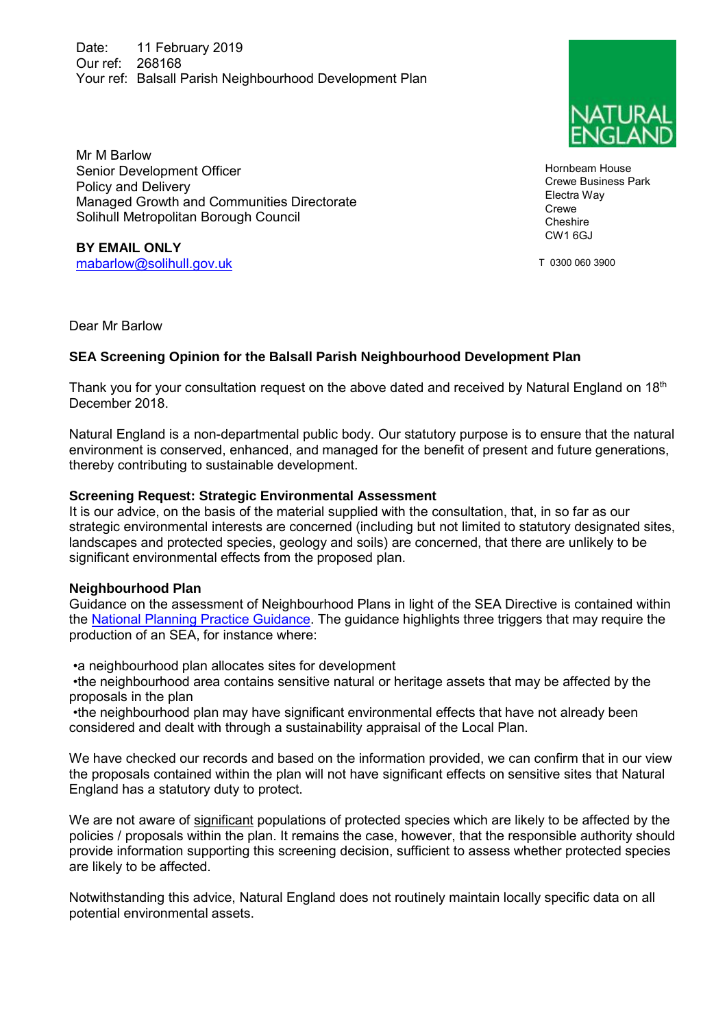Date: 11 February 2019 Our ref: 268168 Your ref: Balsall Parish Neighbourhood Development Plan

Mr M Barlow Senior Development Officer Policy and Delivery Managed Growth and Communities Directorate Solihull Metropolitan Borough Council

**BY EMAIL ONLY** [mabarlow@solihull.gov.uk](mailto:mabarlow@solihull.gov.uk)

Dear Mr Barlow

## **SEA Screening Opinion for the Balsall Parish Neighbourhood Development Plan**

Thank you for your consultation request on the above dated and received by Natural England on 18<sup>th</sup> December 2018.

Natural England is a non-departmental public body. Our statutory purpose is to ensure that the natural environment is conserved, enhanced, and managed for the benefit of present and future generations, thereby contributing to sustainable development.

## **Screening Request: Strategic Environmental Assessment**

It is our advice, on the basis of the material supplied with the consultation, that, in so far as our strategic environmental interests are concerned (including but not limited to statutory designated sites, landscapes and protected species, geology and soils) are concerned, that there are unlikely to be significant environmental effects from the proposed plan.

## **Neighbourhood Plan**

Guidance on the assessment of Neighbourhood Plans in light of the SEA Directive is contained within the [National Planning Practice Guidance.](https://www.gov.uk/guidance/strategic-environmental-assessment-and-sustainability-appraisal) The guidance highlights three triggers that may require the production of an SEA, for instance where:

•a neighbourhood plan allocates sites for development

 •the neighbourhood area contains sensitive natural or heritage assets that may be affected by the proposals in the plan

 •the neighbourhood plan may have significant environmental effects that have not already been considered and dealt with through a sustainability appraisal of the Local Plan.

We have checked our records and based on the information provided, we can confirm that in our view the proposals contained within the plan will not have significant effects on sensitive sites that Natural England has a statutory duty to protect.

We are not aware of significant populations of protected species which are likely to be affected by the policies / proposals within the plan. It remains the case, however, that the responsible authority should provide information supporting this screening decision, sufficient to assess whether protected species are likely to be affected.

Notwithstanding this advice, Natural England does not routinely maintain locally specific data on all potential environmental assets.



Hornbeam House Crewe Business Park Electra Way Crewe **Cheshire** CW1 6GJ

T 0300 060 3900